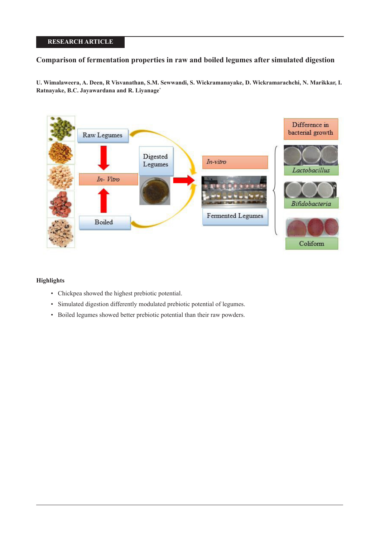# **RESEARCH ARTICLE**

# **Comparison of fermentation properties in raw and boiled legumes after simulated digestion**

**U. Wimalaweera, A. Deen, R Visvanathan, S.M. Sewwandi, S. Wickramanayake, D. Wickramarachchi, N. Marikkar, I. Ratnayake, B.C. Jayawardana and R. Liyanage\***



### **Highlights**

- Chickpea showed the highest prebiotic potential.
- Simulated digestion differently modulated prebiotic potential of legumes.
- Boiled legumes showed better prebiotic potential than their raw powders.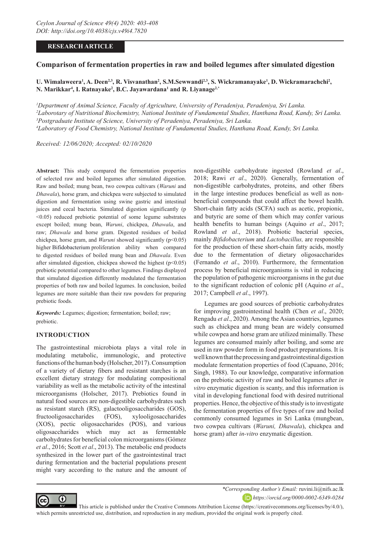## **RESEARCH ARTICLE**

# **Comparison of fermentation properties in raw and boiled legumes after simulated digestion**

U. Wimalaweera<sup>1</sup>, A. Deen<sup>2,3</sup>, R. Visvanathan<sup>2</sup>, S.M.Sewwandi<sup>2,3</sup>, S. Wickramanayake<sup>1</sup>, D. Wickramarachchi<sup>2</sup>, **N. Marikkar4 , I. Ratnayake2 , B.C. Jayawardana1 and R. Liyanage2,\***

 *Department of Animal Science, Faculty of Agriculture, University of Peradeniya, Peradeniya, Sri Lanka. Laborotary of Nutritional Biochemistry, National Institute of Fundamental Studies, Hanthana Road, Kandy, Sri Lanka. Postgraduate Institute of Science, University of Peradeniya, Peradeniya, Sri Lanka. Laboratory of Food Chemistry, National Institute of Fundamental Studies, Hanthana Road, Kandy, Sri Lanka.*

*Received: 12/06/2020; Accepted: 02/10/2020*

**Abstract:** This study compared the fermentation properties of selected raw and boiled legumes after simulated digestion. Raw and boiled; mung bean, two cowpea cultivars (*Waruni* and *Dhawala*), horse gram, and chickpea were subjected to simulated digestion and fermentation using swine gastric and intestinal juices and cecal bacteria. Simulated digestion significantly (p <0.05) reduced prebiotic potential of some legume substrates except boiled; mung bean, *Waruni*, chickpea, *Dhawala*, and raw; *Dhawala* and horse gram. Digested residues of boiled chickpea, horse gram, and *Waruni* showed significantly (p<0.05) higher Bifidobacterium proliferation ability when compared to digested residues of boiled mung bean and *Dhawala*. Even after simulated digestion, chickpea showed the highest  $(p<0.05)$ prebiotic potential compared to other legumes. Findings displayed that simulated digestion differently modulated the fermentation properties of both raw and boiled legumes. In conclusion, boiled legumes are more suitable than their raw powders for preparing prebiotic foods.

*Keywords:* Legumes; digestion; fermentation; boiled; raw; prebiotic.

### **INTRODUCTION**

The gastrointestinal microbiota plays a vital role in modulating metabolic, immunologic, and protective functions of the human body (Holscher, 2017). Consumption of a variety of dietary fibers and resistant starches is an excellent dietary strategy for modulating compositional variability as well as the metabolic activity of the intestinal microorganisms (Holscher, 2017). Prebiotics found in natural food sources are non‐digestible carbohydrates such as resistant starch (RS), galactooligosaccharides (GOS), fructooligosaccharides (FOS), xylooligosaccharides (XOS), pectic oligosaccharides (POS), and various oligosaccharides which may act as fermentable carbohydrates for beneficial colon microorganisms (Gómez *et al*., 2016; Scott *et al*., 2013). The metabolic end products synthesized in the lower part of the gastrointestinal tract during fermentation and the bacterial populations present might vary according to the nature and the amount of

non-digestible carbohydrate ingested (Rowland *et al*., 2018; Rawi *et al*., 2020). Generally, fermentation of non-digestible carbohydrates, proteins, and other fibers in the large intestine produces beneficial as well as nonbeneficial compounds that could affect the bowel health. Short-chain fatty acids (SCFA) such as acetic, propionic, and butyric are some of them which may confer various health benefits to human beings (Aquino *et al*., 2017; Rowland *et al*., 2018). Probiotic bacterial species, mainly *Bifidobacterium* and *Lactobacillus,* are responsible for the production of these short-chain fatty acids, mostly due to the fermentation of dietary oligosaccharides (Fernando *et al*., 2010). Furthermore, the fermentation process by beneficial microorganisms is vital in reducing the population of pathogenic microorganisms in the gut due to the significant reduction of colonic pH (Aquino *et al*., 2017; Campbell *et al*., 1997).

Legumes are good sources of prebiotic carbohydrates for improving gastrointestinal health (Chen *et al*., 2020; Rengadu *et al*., 2020). Among the Asian countries, legumes such as chickpea and mung bean are widely consumed while cowpea and horse gram are utilized minimally. These legumes are consumed mainly after boiling, and some are used in raw powder form in food product preparations. It is well known that the processing and gastrointestinal digestion modulate fermentation properties of food (Capuano, 2016; Singh, 1988). To our knowledge, comparative information on the prebiotic activity of raw and boiled legumes after *in vitro* enzymatic digestion is scanty, and this information is vital in developing functional food with desired nutritional properties. Hence, the objective of this study is to investigate the fermentation properties of five types of raw and boiled commonly consumed legumes in Sri Lanka (mungbean, two cowpea cultivars (*Waruni, Dhawala*), chickpea and horse gram) after *in-vitro* enzymatic digestion.



*\*Corresponding Author's Email:* ruvini.li@nifs.ac.lk

*https://orcid.org/0000-0002-6349-0284*

 This article is published under the Creative Commons Attribution License (https://creativecommons.org/licenses/by/4.0/), which permits unrestricted use, distribution, and reproduction in any medium, provided the original work is properly cited.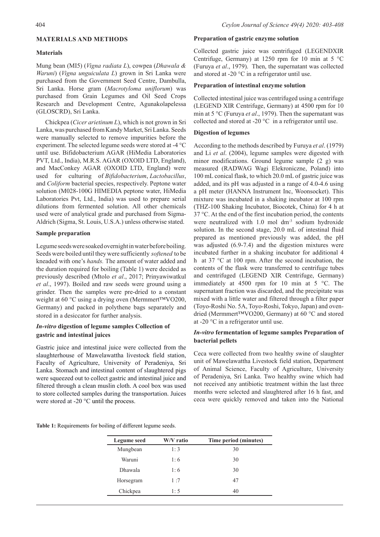### **MATERIALS AND METHODS**

#### **Materials**

Mung bean (MI5) (*Vigna radiata L*), cowpea (*Dhawala & Waruni*) (*Vigna unguiculata L*) grown in Sri Lanka were purchased from the Government Seed Centre, Dambulla, Sri Lanka. Horse gram (*Macrotyloma uniflorum*) was purchased from Grain Legumes and Oil Seed Crops Research and Development Centre, Agunakolapelessa (GLOSCRD), Sri Lanka.

Chickpea (*Cicer arietinum L*), which is not grown in Sri Lanka, was purchased from Kandy Market, Sri Lanka. Seeds were manually selected to remove impurities before the experiment. The selected legume seeds were stored at -4 °C until use. Bifidobacterium AGAR (HiMedia Laboratories PVT, Ltd., India), M.R.S. AGAR (OXOID LTD, England), and MacConkey AGAR (OXOID LTD, England) were used for culturing of *Bifidobacterium*, *Lactobacillus*, and *Coliform* bacterial species, respectively. Peptone water solution (M028-100G HIMEDIA peptone water, HiMedia Laboratories Pvt, Ltd., India) was used to prepare serial dilutions from fermented solution. All other chemicals used were of analytical grade and purchased from Sigma-Aldrich (Sigma, St. Louis, U.S.A.) unless otherwise stated.

### **Sample preparation**

Legume seeds were soaked overnight in water before boiling. Seeds were boiled until they were sufficiently *softened* to be kneaded with one's *hands.* The amount of water added and the duration required for boiling (Table 1) were decided as previously described (Mtolo *et al*., 2017; Prinyawiwatkul *et al*., 1997). Boiled and raw seeds were ground using a grinder. Then the samples were pre-dried to a constant weight at 60 °C using a drying oven (Mermmert™VO200, Germany) and packed in polythene bags separately and stored in a desiccator for further analysis.

## *In-vitro* **digestion of legume samples Collection of gastric and intestinal juices**

Gastric juice and intestinal juice were collected from the slaughterhouse of Mawelawattha livestock field station, Faculty of Agriculture, University of Peradeniya, Sri Lanka. Stomach and intestinal content of slaughtered pigs were squeezed out to collect gastric and intestinal juice and filtered through a clean muslin cloth. A cool box was used to store collected samples during the transportation. Juices were stored at -20 °C until the process.

#### **Preparation of gastric enzyme solution**

Collected gastric juice was centrifuged (LEGENDXIR Centrifuge, Germany) at 1250 rpm for 10 min at  $5^{\circ}$ C (Furuya *et al*., 1979). Then, the supernatant was collected and stored at -20 $\degree$ C in a refrigerator until use.

#### **Preparation of intestinal enzyme solution**

Collected intestinal juice was centrifuged using a centrifuge (LEGEND XIR Centrifuge, Germany) at 4500 rpm for 10 min at 5 °C (Furuya *et al*., 1979). Then the supernatant was collected and stored at -20 °C in a refrigerator until use.

#### **Digestion of legumes**

According to the methods described by Furuya *et al*. (1979) and Li *et al*. (2004), legume samples were digested with minor modifications. Ground legume sample (2 g) was measured (RADWAG Wagi Elekroniczne, Poland) into 100 mL conical flask, to which 20.0 mL of gastric juice was added, and its pH was adjusted in a range of 4.0-4.6 using a pH meter (HANNA Instrument Inc, Woonsocket). This mixture was incubated in a shaking incubator at 100 rpm (THZ-100 Shaking Incubator, Biocotek, China) for 4 h at 37 °C. At the end of the first incubation period, the contents were neutralized with 1.0 mol dm-3 sodium hydroxide solution. In the second stage, 20.0 mL of intestinal fluid prepared as mentioned previously was added, the pH was adjusted (6.9-7.4) and the digestion mixtures were incubated further in a shaking incubator for additional 4 h at 37 °C at 100 rpm. After the second incubation, the contents of the flask were transferred to centrifuge tubes and centrifuged (LEGEND XIR Centrifuge, Germany) immediately at 4500 rpm for 10 min at 5 °C. The supernatant fraction was discarded, and the precipitate was mixed with a little water and filtered through a filter paper (Toyo-Roshi No. 5A, Toyo-Roshi, Tokyo, Japan) and ovendried (Mermmert™VO200, Germany) at 60 °C and stored at -20 °C in a refrigerator until use.

### *In-vitro* **fermentation of legume samples Preparation of bacterial pellets**

Ceca were collected from two healthy swine of slaughter unit of Mawelawattha Livestock field station, Department of Animal Science, Faculty of Agriculture, University of Peradeniya, Sri Lanka. Two healthy swine which had not received any antibiotic treatment within the last three months were selected and slaughtered after 16 h fast, and ceca were quickly removed and taken into the National

**Table 1:** Requirements for boiling of different legume seeds.

| <b>Legume</b> seed | W/V ratio | Time period (minutes) |
|--------------------|-----------|-----------------------|
| Mungbean           | 1:3       | 30                    |
| Waruni             | 1:6       | 30                    |
| <b>Dhawala</b>     | 1:6       | 30                    |
| Horsegram          | 1:7       | 47                    |
| Chickpea           | 1:5       | 40                    |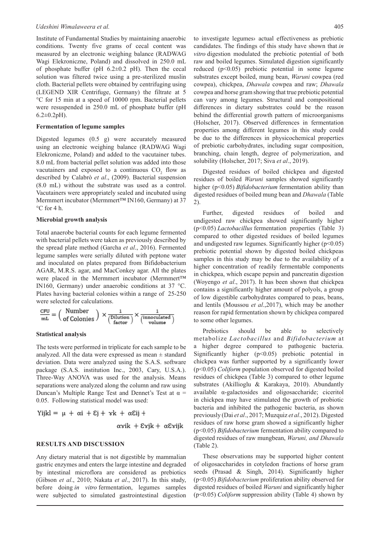Institute of Fundamental Studies by maintaining anaerobic conditions. Twenty five grams of cecal content was measured by an electronic weighing balance (RADWAG Wagi Elekroniczne, Poland) and dissolved in 250.0 mL of phosphate buffer (pH  $6.2 \pm 0.2$  pH). Then the cecal solution was filtered twice using a pre-sterilized muslin cloth. Bacterial pellets were obtained by centrifuging using (LEGEND XIR Centrifuge, Germany) the filtrate at 5 °C for 15 min at a speed of 10000 rpm. Bacterial pellets were resuspended in 250.0 mL of phosphate buffer (pH  $6.2 \pm 0.2pH$ ).

#### **Fermentation of legume samples**

Digested legumes (0.5 g) were accurately measured using an electronic weighing balance (RADWAG Wagi Elekroniczne, Poland) and added to the vacutainer tubes. 8.0 mL from bacterial pellet solution was added into those vacutainers and exposed to a continuous  $CO_2$  flow as described by Calabrò *et al*., (2009). Bacterial suspension (8.0 mL) without the substrate was used as a control. Vacutainers were appropriately sealed and incubated using Mermmert incubator (Mermmert™ IN160, Germany) at 37 °C for 4 h.

#### **Microbial growth analysis**

Total anaerobe bacterial counts for each legume fermented with bacterial pellets were taken as previously described by the spread plate method (Garcha *et al*., 2016). Fermented legume samples were serially diluted with peptone water and inoculated on plates prepared from Bifidobacterium AGAR, M.R.S. agar, and MacConkey agar. All the plates were placed in the Mermmert incubator (Mermmert™ IN160, Germany) under anaerobic conditions at 37 °C. Plates having bacterial colonies within a range of 25-250 were selected for calculations.

$$
\frac{\text{CFU}}{\text{mL}} = \left(\begin{array}{c} \text{Number} \\ \text{of Colonies} \end{array}\right) \times \frac{1}{\left(\begin{array}{c} \text{Dilution} \\ \text{factor} \end{array}\right)} \times \frac{1}{\left(\begin{array}{c} \text{innoculated} \\ \text{volume} \end{array}\right)}
$$

#### **Statistical analysis**

The tests were performed in triplicate for each sample to be analyzed. All the data were expressed as mean  $\pm$  standard deviation. Data were analyzed using the S.A.S. software package (S.A.S. institution Inc., 2003, Cary, U.S.A.). Three-Way ANOVA was used for the analysis. Means separations were analyzed along the column and raw using Duncan's Multiple Range Test and Dennet's Test at  $\alpha$  = 0.05. Following statistical model was used:

Yijkl =  $\mu$  +  $\alpha$ i + Ej +  $\gamma$ k +  $\alpha$ Eij +  $\alpha$  rik +  $\epsilon$  rik +  $\alpha$   $\epsilon$  rik

### **RESULTS AND DISCUSSION**

Any dietary material that is not digestible by mammalian gastric enzymes and enters the large intestine and degraded by intestinal microflora are considered as prebiotics (Gibson *et al*., 2010; Nakata *et al*., 2017). In this study, before doing *in vitro* fermentation, legumes samples were subjected to simulated gastrointestinal digestion

to investigate legumes› actual effectiveness as prebiotic candidates. The findings of this study have shown that *in vitro* digestion modulated the prebiotic potential of both raw and boiled legumes. Simulated digestion significantly reduced  $(p<0.05)$  prebiotic potential in some legume substrates except boiled, mung bean, *Waruni* cowpea (red cowpea), chickpea, *Dhawala* cowpea and raw; *Dhawala* cowpea and horse gram showing that true prebiotic potential can vary among legumes. Structural and compositional differences in dietary substrates could be the reason behind the differential growth pattern of microorganisms (Holscher, 2017). Observed differences in fermentation properties among different legumes in this study could be due to the differences in physicochemical properties of prebiotic carbohydrates, including sugar composition, branching, chain length, degree of polymerization, and solubility (Holscher, 2017; Siva *et al*., 2019).

Digested residues of boiled chickpea and digested residues of boiled *Waruni* samples showed significantly higher (p<0.05) *Bifidobacterium* fermentation ability than digested residues of boiled mung bean and *Dhawala* (Table 2).

Further, digested residues of boiled and undigested raw chickpea showed significantly higher (p<0.05) *Lactobacillus* fermentation properties (Table 3) compared to other digested residues of boiled legumes and undigested raw legumes. Significantly higher  $(p<0.05)$ prebiotic potential shown by digested boiled chickpeas samples in this study may be due to the availability of a higher concentration of readily fermentable components in chickpea, which escape pepsin and pancreatin digestion (Woyengo *et al*., 2017). It has been shown that chickpea contains a significantly higher amount of polyols, a group of low digestible carbohydrates compared to peas, beans, and lentils (Moussou *et al*.,2017), which may be another reason for rapid fermentation shown by chickpea compared to some other legumes.

Prebiotics should be able to selectively metabolize *Lactobacillus* and *Bifidobacterium* at a higher degree compared to pathogenic bacteria. Significantly higher  $(p<0.05)$  prebiotic potential in chickpea was further supported by a significantly lower (p<0.05) *Coliform* population observed for digested boiled residues of chickpea (Table 3) compared to other legume substrates (Akillioglu & Karakaya, 2010). Abundantly available α-galactosides and oligosaccharide; ciceritol in chickpea may have stimulated the growth of probiotic bacteria and inhibited the pathogenic bacteria, as shown previously (Dai *et al*., 2017; Muzquiz *et al*., 2012). Digested residues of raw horse gram showed a significantly higher (p<0.05) *Bifidobacterium* fermentation ability compared to digested residues of raw mungbean, *Waruni, and Dhawala* (Table 2).

These observations may be supported higher content of oligosaccharides in cotyledon fractions of horse gram seeds (Prasad & Singh, 2014). Significantly higher (p<0.05) *Bifidobacterium* proliferation ability observed for digested residues of boiled *Waruni* and significantly higher (p<0.05) *Coliform* suppression ability (Table 4) shown by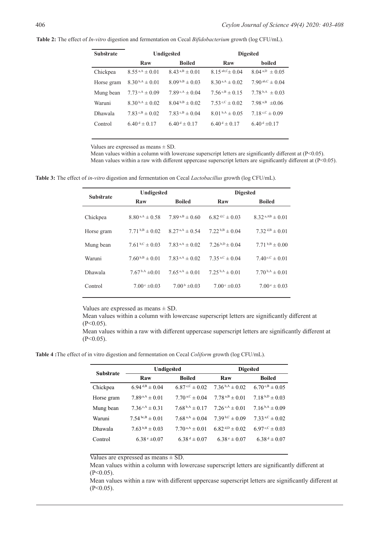### **Table 2:** The effect of *In-vitro* digestion and fermentation on Cecal *Bifidobacterium* growth (log CFU/mL).

| <b>Substrate</b> | Undigested                          |                                     | <b>Digested</b>                       |                           |
|------------------|-------------------------------------|-------------------------------------|---------------------------------------|---------------------------|
|                  | Raw                                 | <b>Boiled</b>                       | Raw                                   | boiled                    |
| Chickpea         | $8.55^{a,A} \pm 0.01$               | $8.43^{a,B} \pm 0.01$               | $8.15^{ab,C} \pm 0.04$                | $8.04^{a,D} \pm 0.05$     |
| Horse gram       | $8.30^{b,A} \pm 0.01$               | $8.09^{b,B} \pm 0.03$               | $8.30^{a,A} \pm 0.02$                 | 7.90 ab, $C \pm 0.04$     |
| Mung bean        | 7.73 °.A $\pm$ 0.09                 | 7.89 s, $A \pm 0.04$                | $7.56 \text{ }^{\text{c,B}} \pm 0.15$ | 7.78 $^{\rm b,A}$ ± 0.03  |
| Waruni           | $8.30^{b,A} \pm 0.02$               | $8.04^{b,B} \pm 0.02$               | $7.53 \text{°C} \pm 0.02$             | 7.98 a,B $\pm 0.06$       |
| Dhawala          | $7.83 \text{ }^{\circ, B} \pm 0.02$ | $7.83 \text{ }^{\circ, B} \pm 0.04$ | $8.01^{b,A} \pm 0.05$                 | $7.18 \cdot C \pm 0.09$   |
| Control          | $6.40^{\mathrm{d}} \pm 0.17$        | $6.40^{\mathrm{d}} \pm 0.17$        | $6.40^{\mathrm{d}} \pm 0.17$          | $6.40^{\mathrm{d}}$ ±0.17 |

Values are expressed as means  $\pm$  SD.

Mean values within a column with lowercase superscript letters are significantly different at  $(P<0.05)$ . Mean values within a raw with different uppercase superscript letters are significantly different at (P<0.05).

**Table 3:** The effect of *in-vitro* digestion and fermentation on Cecal *Lactobacillus* growth (log CFU/mL).

| <b>Substrate</b> | Undigested            |                              | <b>Digested</b>        |                           |
|------------------|-----------------------|------------------------------|------------------------|---------------------------|
|                  | Raw                   | <b>Boiled</b>                | Raw                    | <b>Boiled</b>             |
| Chickpea         | $8.80^{a,A} \pm 0.58$ | $7.89^{a,B} \pm 0.60$        | 6.82 $\rm{d,c}$ ± 0.03 | $8.32^{a,AB} \pm 0.01$    |
| Horse gram       | $7.71^{b,B} \pm 0.02$ | $8.27^{a,A} \pm 0.54$        | $7.22^{b,B} \pm 0.04$  | $7.32^{ d,B} \pm 0.01$    |
| Mung bean        | $7.61^{b,C} \pm 0.03$ | $7.83^{\text{a,A}} \pm 0.02$ | $7.26^{b,D} \pm 0.04$  | $7.71^{b,B} \pm 0.00$     |
| Waruni           | $7.60^{b,B} \pm 0.01$ | 7.83 a,A $\pm$ 0.02          | $7.35^{a,C} \pm 0.04$  | $7.40\,{}^{c,C} \pm 0.01$ |
| <b>Dhawala</b>   | $7.67b.A \pm 0.01$    | $7.65^{a,A} \pm 0.01$        | $7.25^{b,A}\pm 0.01$   | $7.70^{b,A} \pm 0.01$     |
| Control          | $7.00 \div 0.03$      | $7.00b \pm 0.03$             | $7.00 \div 0.03$       | $7.00^{\circ} \pm 0.03$   |

Values are expressed as means ± SD.

Mean values within a column with lowercase superscript letters are significantly different at  $(P<0.05)$ .

Mean values within a raw with different uppercase superscript letters are significantly different at  $(P<0.05)$ .

**Table 4 :**The effect of in vitro digestion and fermentation on Cecal *Coliform* growth (log CFU/mL).

| <b>Substrate</b> | Undigested                   |                              | <b>Digested</b>         |                                      |
|------------------|------------------------------|------------------------------|-------------------------|--------------------------------------|
|                  | Raw                          | <b>Boiled</b>                | Raw                     | <b>Boiled</b>                        |
| Chickpea         | 6.94 $d, B \pm 0.04$         | $6.87^{\text{c,C}} \pm 0.02$ | $7.36^{b,A} \pm 0.02$   | $6.70\text{ }^{\text{c,B}} \pm 0.05$ |
| Horse gram       | $7.89^{a,A} \pm 0.01$        | $7.70^{a,C} \pm 0.04$        | $7.78^{a,B} \pm 0.01$   | $7.18^{b,D} \pm 0.03$                |
| Mung bean        | $7.36$ s, A $\pm$ 0.31       | $7.68^{b,A} \pm 0.17$        | $7.26$ s, A $\pm$ 0.01  | $7.16^{b,A} \pm 0.09$                |
| Waruni           | $7.54 \text{ bc,B} \pm 0.01$ | $7.68^{a,A} \pm 0.04$        | $7.39^{b,C} \pm 0.09$   | 7.33 a, $c \pm 0.02$                 |
| <b>Dhawala</b>   | $7.63^{b,B} \pm 0.03$        | $7.70^{a,A} \pm 0.01$        | $6.82^{ d,D} \pm 0.02$  | 6.97 ° <sub>c</sub> C $\pm$ 0.03     |
| Control          | $6.38^{\circ} \pm 0.07$      | $6.38^{d} \pm 0.07$          | $6.38^{\circ} \pm 0.07$ | $6.38^{d} \pm 0.07$                  |

Values are expressed as means  $\pm$  SD.

Mean values within a column with lowercase superscript letters are significantly different at  $(P<0.05)$ .

Mean values within a raw with different uppercase superscript letters are significantly different at  $(P<0.05)$ .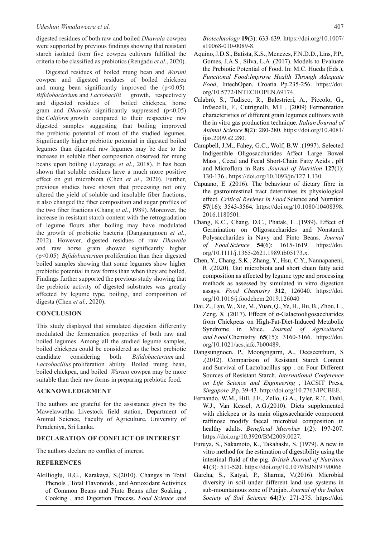digested residues of both raw and boiled *Dhawala* cowpea were supported by previous findings showing that resistant starch isolated from five cowpea cultivars fulfilled the criteria to be classified as prebiotics (Rengadu *et al*., 2020).

Digested residues of boiled mung bean and *Waruni* cowpea and digested residues of boiled chickpea and mung bean significantly improved the  $(p<0.05)$ *Bifidobacterium* and *Lactobacilli* growth, respectively and digested residues of boiled chickpea, horse gram and *Dhawala* significantly suppressed (p<0.05) the *Coliform* growth compared to their respective raw digested samples suggesting that boiling improved the prebiotic potential of most of the studied legumes. Significantly higher prebiotic potential in digested boiled legumes than digested raw legumes may be due to the increase in soluble fiber composition observed for mung beans upon boiling (Liyanage *et al*., 2018). It has been shown that soluble residues have a much more positive effect on gut microbiota (Chen *et al*., 2020). Further, previous studies have shown that processing not only altered the yield of soluble and insoluble fiber fractions, it also changed the fiber composition and sugar profiles of the two fiber fractions (Chang *et al*., 1989). Moreover, the increase in resistant starch content with the retrogradation of legume flours after boiling may have modulated the growth of probiotic bacteria (Dangsungnoen *et al*., 2012). However, digested residues of raw *Dhawala* and raw horse gram showed significantly higher (p<0.05) *Bifidobacterium* proliferation than their digested boiled samples showing that some legumes show higher prebiotic potential in raw forms than when they are boiled. Findings further supported the previous study showing that the prebiotic activity of digested substrates was greatly affected by legume type, boiling, and composition of digesta (Chen *et al.,* 2020).

### **CONCLUSION**

This study displayed that simulated digestion differently modulated the fermentation properties of both raw and boiled legumes. Among all the studied legume samples, boiled chickpea could be considered as the best prebiotic candidate considering both *Bifidobacterium* and *Lactobacillus* proliferation ability. Boiled mung bean, boiled chickpea, and boiled *Waruni* cowpea may be more suitable than their raw forms in preparing prebiotic food.

### **ACKNOWLEDGEMENT**

The authors are grateful for the assistance given by the Mawelawattha Livestock field station, Department of Animal Science, Faculty of Agriculture, University of Peradeniya, Sri Lanka.

### **DECLARATION OF CONFLICT OF INTEREST**

The authors declare no conflict of interest.

### **REFERENCES**

Akillioglu, H,G., Karakaya, S.(2010). Changes in Total Phenols , Total Flavonoids , and Antioxidant Activities of Common Beans and Pinto Beans after Soaking , Cooking , and Digestion Process. *Food Science and*  *Biotechnology* **19**(3): 633-639. https://doi.org/10.1007/ s10068-010-0089-8.

- Aquino, J.D.S., Batista, K.S., Menezes, F.N.D.D., Lins, P.P., Gomes, J.A.S., Silva, L.A .(2017). Models to Evaluate the Prebiotic Potential of Food. In: M.C. Hueda (Eds.), *Functional Food:Improve Health Through Adequate Food*, IntechOpen, Croatia Pp.235-256. https://doi. org/10.5772/INTECHOPEN.69174.
- Calabrò, S., Tudisco, R., Balestrieri, A., Piccolo, G., Infascelli, F., Cutrignelli, M.I . (2009) Fermentation characteristics of different grain legumes cultivars with the in vitro gas production technique. *Italian Journal of Animal Science* **8**(2): 280-280. https://doi.org/10.4081/ ijas.2009.s2.280.
- Campbell, J.M., Fahey, G.C., Wolf, B.W .(1997). Selected Indigestible Oligosaccharides Affect Large Bowel Mass , Cecal and Fecal Short-Chain Fatty Acids , pH and Microflora in Rats. *Journal of Nutrition* **127**(1): 130-136 . https://doi.org/10.1093/jn/127.1.130.
- Capuano, E .(2016). The behaviour of dietary fibre in the gastrointestinal tract determines its physiological effect. *Critical Reviews in Food* Science and Nutrition **57**(16): 3543-3564. https://doi.org/10.1080/10408398. 2016.1180501.
- Chang, K.C., Chang, D.C., Phatak, L .(1989). Effect of Germination on Oligosaccharides and Nonstarch Polysaccharides in Navy and Pinto Beans. *Journal of Food Science* **54**(6): 1615-1619. https://doi. org/10.1111/j.1365-2621.1989.tb05173.x.
- Chen, Y., Chang, S.K., Zhang, Y., Hsu, C.Y., Nannapaneni, R .(2020). Gut microbiota and short chain fatty acid composition as affected by legume type and processing methods as assessed by simulated in vitro digestion assays. *Food Chemistry* **312**, 126040. https://doi. org/10.1016/j.foodchem.2019.126040
- Dai, Z., Lyu, W., Xie, M., Yuan, Q., Ye, H., Hu, B., Zhou, L., Zeng, X .(2017). Effects of α-Galactooligosaccharides from Chickpeas on High-Fat-Diet-Induced Metabolic Syndrome in Mice. *Journal of Agricultural and Food* Chemistry **65**(15): 3160-3166. https://doi. org/10.1021/acs.jafc.7b00489.
- Dangsungnoen, P., Moongngarm, A., Deeseenthum, S .(2012). Comparison of Resistant Starch Content and Survival of Lactobacillus spp . on Four Different Sources of Resistant Starch. *International Conference on Life Science and Engineering* , IACSIT Press, *Singapore* ,Pp. 39-43. http://doi.org/10.7763/IPCBEE.
- Fernando, W.M., Hill, J.E., Zello, G.A., Tyler, R.T., Dahl, W.J., Van Kessel, A.G.(2010). Diets supplemented with chickpea or its main oligosaccharide component raffinose modify faecal microbial composition in healthy adults. *Beneficial Microbes* **1**(2)*:* 197-207. https://doi.org/10.3920/BM2009.0027.
- Furuya, S., Sakamoto, K., Takahashi, S. (1979). A new in vitro method for the estimation of digestibility using the intestinal fluid of the pig. *British Journal of Nutrition* **41**(3)*:* 511-520. https://doi.org/10.1079/BJN19790066
- Garcha, S., Katyal, P., Sharma, V.(2016). Microbial diversity in soil under different land use systems in sub-mountainous zone of Punjab. *Journal of the Indian Society of Soil Science* **64**(3)*:* 271-275. https://doi.